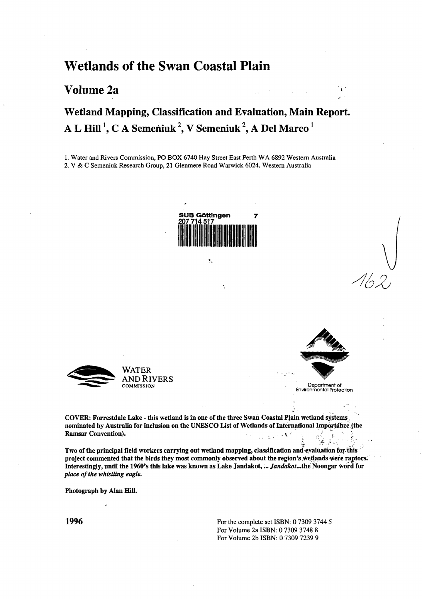### **Wetlands of the Swan Coastal Plain**

#### **Volume 2a**

# Wetland Mapping, Classification and Evaluation, Main Report. A L Hill <sup>1</sup>, C A Semeniuk <sup>2</sup>, V Semeniuk <sup>2</sup>, A Del Marco <sup>1</sup>

1. Water and Rivers Commission, PO BOX 6740 Hay Street East Perth WA 6892 Western Australia 2. V & C Semeniuk Research Group, 21 Glenmere Road Warwick 6024, Western Australia



٩





 $\mathcal{A}^{\mathcal{A}}$ 

**COMMISSION** Department of Environmental Protection

**4 •'. ^•••:<sup>i</sup> '->"' v / ., •**

**COVER: Forrestdale Lake - this wetland is in one of the three Swan Coastal Plain wetland systems nominated by Australia for inclusion on the UNESCO List of Wetlands of International Importance {the RamsarConvention).** *.... .\-~* **,** i **-** *].*

**Two of the principal field workers carrying out wetland mapping, classification and evaluation for this project commented that the birds they most commonly observed about the region's wetlands were raptors. Interestingly, until the 1960's this lake was known as Lake Jandakot,...** *Jandakot...the* **Noongar Word for** *place of the whistling eagle.*

**Photograph by Alan Hill.**

**1996** For the complete set ISBN: 0 7309 3744 5 For Volume 2a ISBN: 0 7309 3748 8 For Volume 2b ISBN: 0 7309 7239 9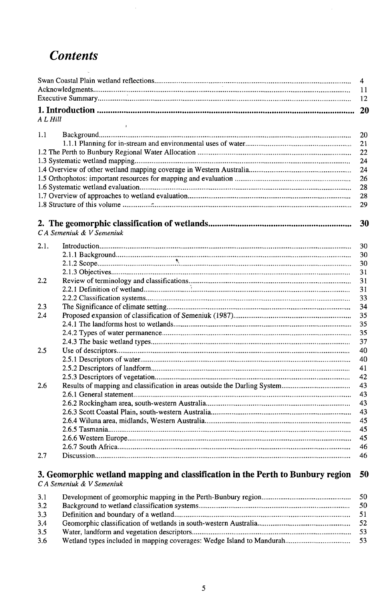# *Contents*

 $\hat{\mathcal{A}}$ 

|      |                                                                                 | $\overline{4}$ |
|------|---------------------------------------------------------------------------------|----------------|
|      |                                                                                 | 11             |
|      |                                                                                 | 12             |
|      |                                                                                 | 20             |
|      | A L Hill                                                                        |                |
|      |                                                                                 |                |
| 1.1  |                                                                                 | 20             |
|      |                                                                                 | 21             |
|      |                                                                                 | 22             |
|      |                                                                                 | 24             |
|      |                                                                                 | 24             |
|      |                                                                                 | 26             |
|      |                                                                                 | 28             |
|      |                                                                                 | 28             |
|      |                                                                                 | 29             |
|      |                                                                                 |                |
|      |                                                                                 | 30             |
|      | CA Semeniuk & V Semeniuk                                                        |                |
|      |                                                                                 |                |
| 2.1. |                                                                                 | 30             |
|      |                                                                                 | 30             |
|      |                                                                                 | 30             |
|      |                                                                                 | 31             |
| 2.2  |                                                                                 | 31             |
|      |                                                                                 | 31             |
|      |                                                                                 | 33             |
| 2.3  |                                                                                 | 34             |
| 2.4  |                                                                                 | 35             |
|      |                                                                                 | 35             |
|      |                                                                                 | 35             |
|      |                                                                                 | 37             |
| 2.5  |                                                                                 | 40             |
|      |                                                                                 | 40             |
|      |                                                                                 | 41             |
|      |                                                                                 | 42             |
| 2.6  |                                                                                 | 43             |
|      |                                                                                 | 43             |
|      |                                                                                 | 43             |
|      |                                                                                 | 43             |
|      |                                                                                 | 45             |
|      |                                                                                 | 45             |
|      |                                                                                 | 45             |
|      |                                                                                 | 46             |
| 2.7  |                                                                                 | 46             |
|      |                                                                                 |                |
|      | 3. Geomorphic wetland mapping and classification in the Perth to Bunbury region | 50             |
|      | C A Semeniuk & V Semeniuk                                                       |                |
| 3,1  |                                                                                 | 50             |
| 3.2  |                                                                                 | 50             |
| 3.3  |                                                                                 | 51             |
| 3.4  |                                                                                 | 52             |
| 3.5  |                                                                                 | 53             |
| 3.6  |                                                                                 | 53             |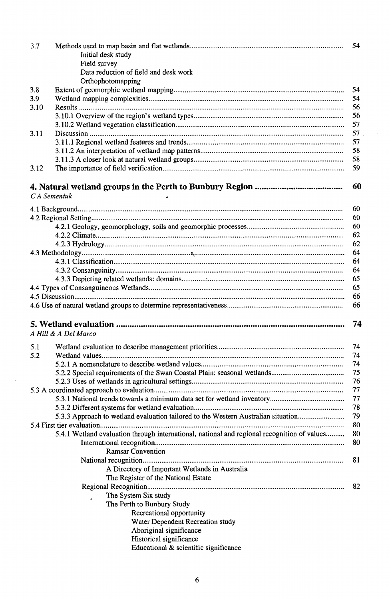| 3.7  |                                                                                             |    |
|------|---------------------------------------------------------------------------------------------|----|
|      | Initial desk study                                                                          |    |
|      | Field survey                                                                                |    |
|      | Data reduction of field and desk work                                                       |    |
|      | Orthophotomapping                                                                           |    |
| 3.8  |                                                                                             | 54 |
| 3.9  |                                                                                             | 54 |
| 3.10 |                                                                                             | 56 |
|      |                                                                                             | 56 |
|      |                                                                                             | 57 |
| 3.11 |                                                                                             | 57 |
|      |                                                                                             | 57 |
|      |                                                                                             | 58 |
|      |                                                                                             | 58 |
| 3.12 |                                                                                             | 59 |
|      |                                                                                             |    |
|      | CA Semeniuk                                                                                 | 60 |
|      |                                                                                             | 60 |
|      |                                                                                             | 60 |
|      |                                                                                             | 60 |
|      |                                                                                             | 62 |
|      |                                                                                             | 62 |
|      |                                                                                             | 64 |
|      |                                                                                             | 64 |
|      |                                                                                             | 64 |
|      |                                                                                             | 65 |
|      |                                                                                             | 65 |
|      |                                                                                             | 66 |
|      |                                                                                             | 66 |
|      |                                                                                             |    |
|      |                                                                                             | 74 |
|      |                                                                                             |    |
|      | A Hill & A Del Marco                                                                        |    |
| 5.1  |                                                                                             |    |
| 5.2  |                                                                                             |    |
|      |                                                                                             | 74 |
|      |                                                                                             | 75 |
|      |                                                                                             | 76 |
|      |                                                                                             | 77 |
|      |                                                                                             | 77 |
|      |                                                                                             | 78 |
|      | 5.3.3 Approach to wetland evaluation tailored to the Western Australian situation           | 79 |
|      |                                                                                             | 80 |
|      | 5.4.1 Wetland evaluation through international, national and regional recognition of values | 80 |
|      |                                                                                             | 80 |
|      |                                                                                             |    |
|      | <b>Ramsar Convention</b>                                                                    |    |
|      |                                                                                             | 81 |
|      | A Directory of Important Wetlands in Australia                                              |    |
|      | The Register of the National Estate                                                         |    |
|      |                                                                                             | 82 |
|      | The System Six study                                                                        |    |
|      | The Perth to Bunbury Study                                                                  |    |
|      | Recreational opportunity                                                                    |    |
|      | Water Dependent Recreation study                                                            |    |
|      | Aboriginal significance                                                                     |    |
|      | Historical significance                                                                     |    |
|      | Educational & scientific significance                                                       |    |
|      |                                                                                             |    |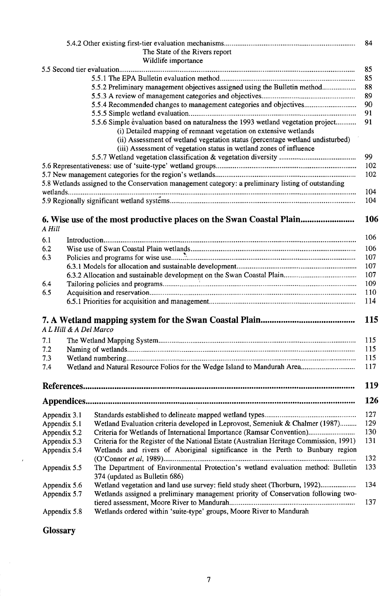|              |                        | The State of the Rivers report                                                                                                                    | 84  |
|--------------|------------------------|---------------------------------------------------------------------------------------------------------------------------------------------------|-----|
|              |                        | Wildlife importance                                                                                                                               |     |
|              |                        |                                                                                                                                                   | 85  |
|              |                        |                                                                                                                                                   | 85  |
|              |                        | 5.5.2 Preliminary management objectives assigned using the Bulletin method                                                                        | 88  |
|              |                        |                                                                                                                                                   | 89  |
|              |                        | 5.5.4 Recommended changes to management categories and objectives                                                                                 | 90  |
|              |                        |                                                                                                                                                   | 91  |
|              |                        | 5.5.6 Simple evaluation based on naturalness the 1993 wetland vegetation project                                                                  | 91  |
|              |                        |                                                                                                                                                   |     |
|              |                        | (i) Detailed mapping of remnant vegetation on extensive wetlands<br>(ii) Assessment of wetland vegetation status (percentage wetland undisturbed) |     |
|              |                        |                                                                                                                                                   |     |
|              |                        | (iii) Assessment of vegetation status in wetland zones of influence                                                                               | 99  |
|              |                        |                                                                                                                                                   |     |
|              |                        |                                                                                                                                                   | 102 |
|              |                        |                                                                                                                                                   | 102 |
|              |                        | 5.8 Wetlands assigned to the Conservation management category: a preliminary listing of outstanding                                               | 104 |
|              |                        |                                                                                                                                                   | 104 |
| A Hill       |                        | 6. Wise use of the most productive places on the Swan Coastal Plain                                                                               | 106 |
|              |                        |                                                                                                                                                   | 106 |
| 6.1          |                        |                                                                                                                                                   |     |
| 6.2          |                        |                                                                                                                                                   | 106 |
| 6.3          |                        |                                                                                                                                                   | 107 |
|              |                        |                                                                                                                                                   | 107 |
|              |                        |                                                                                                                                                   | 107 |
| 6.4          |                        |                                                                                                                                                   | 109 |
| 6.5          |                        |                                                                                                                                                   | 110 |
|              |                        |                                                                                                                                                   | 114 |
|              |                        |                                                                                                                                                   | 115 |
|              | A L Hill & A Del Marco |                                                                                                                                                   |     |
| 7.1          |                        |                                                                                                                                                   | 115 |
| 7.2          |                        |                                                                                                                                                   | 115 |
| 7.3          |                        |                                                                                                                                                   | 115 |
| 7.4          |                        | Wetland and Natural Resource Folios for the Wedge Island to Mandurah Area                                                                         | 117 |
|              |                        |                                                                                                                                                   | 119 |
|              |                        |                                                                                                                                                   | 126 |
| Appendix 3.1 |                        |                                                                                                                                                   | 127 |
| Appendix 5.1 |                        | Wetland Evaluation criteria developed in Leprovost, Semeniuk & Chalmer (1987)                                                                     | 129 |
| Appendix 5.2 |                        | Criteria for Wetlands of International Importance (Ramsar Convention)                                                                             | 130 |
| Appendix 5.3 |                        | Criteria for the Register of the National Estate (Australian Heritage Commission, 1991)                                                           | 131 |
| Appendix 5.4 |                        | Wetlands and rivers of Aboriginal significance in the Perth to Bunbury region                                                                     |     |
|              |                        |                                                                                                                                                   | 132 |
| Appendix 5.5 |                        | The Department of Environmental Protection's wetland evaluation method: Bulletin<br>374 (updated as Bulletin 686)                                 | 133 |
| Appendix 5.6 |                        | Wetland vegetation and land use survey: field study sheet (Thorburn, 1992)                                                                        | 134 |
| Appendix 5.7 |                        | Wetlands assigned a preliminary management priority of Conservation following two-                                                                | 137 |
| Appendix 5.8 |                        | Wetlands ordered within 'suite-type' groups, Moore River to Mandurah                                                                              |     |

**Glossary** 

 $\mathcal{L}(\mathcal{A})$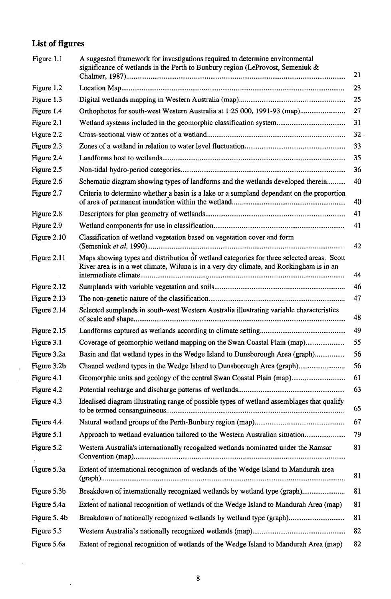## List of figures

 $\overline{a}$ 

 $\ddot{\phantom{0}}$ 

| 23<br>Figure 1.2<br>25<br>Figure 1.3<br>Orthophotos for south-west Western Australia at 1:25 000, 1991-93 (map)<br>27<br>Figure 1.4<br>Figure 2.1<br>31<br>32<br>Figure 2.2<br>Figure 2.3<br>33<br>35<br>Figure 2.4<br>36<br>Figure 2.5<br>Schematic diagram showing types of landforms and the wetlands developed therein<br>Figure 2.6<br>40<br>Figure 2.7<br>Criteria to determine whether a basin is a lake or a sumpland dependant on the proportion<br>40<br>41<br>Figure 2.8<br>Figure 2.9<br>41<br>Figure 2.10<br>Classification of wetland vegetation based on vegetation cover and form<br>42<br>Maps showing types and distribution of wetland categories for three selected areas. Scott<br>Figure 2.11<br>River area is in a wet climate, Wiluna is in a very dry climate, and Rockingham is in an<br>44<br>46<br>Figure 2.12<br>47<br>Figure 2.13<br>Figure 2.14<br>Selected sumplands in south-west Western Australia illustrating variable characteristics<br>48<br>49<br>Figure 2.15<br>55<br>Figure 3.1<br>Coverage of geomorphic wetland mapping on the Swan Coastal Plain (map)<br>56<br>Basin and flat wetland types in the Wedge Island to Dunsborough Area (graph)<br>Figure 3.2a<br>56<br>Channel wetland types in the Wedge Island to Dunsborough Area (graph)<br>Figure 3.2b<br>Figure 4.1<br>Geomorphic units and geology of the central Swan Coastal Plain (map)<br>61<br>Figure 4.2<br>63<br>Figure 4.3<br>Idealised diagram illustrating range of possible types of wetland assemblages that qualify<br>65<br>67<br>Figure 4.4<br>79<br>Figure 5.1<br>Approach to wetland evaluation tailored to the Western Australian situation<br>Figure 5.2<br>81<br>Western Australia's internationally recognized wetlands nominated under the Ramsar<br>Extent of international recognition of wetlands of the Wedge Island to Mandurah area<br>Figure 5.3a<br>81<br>Breakdown of internationally recognized wetlands by wetland type (graph)<br>Figure 5.3b<br>81<br>81<br>Figure 5.4a<br>Extent of national recognition of wetlands of the Wedge Island to Mandurah Area (map)<br>81<br>Figure 5.4b<br>Breakdown of nationally recognized wetlands by wetland type (graph)<br>82<br>Figure 5.5<br>Extent of regional recognition of wetlands of the Wedge Island to Mandurah Area (map)<br>Figure 5.6a<br>82 | Figure 1.1 | A suggested framework for investigations required to determine environmental<br>significance of wetlands in the Perth to Bunbury region (LeProvost, Semeniuk &<br>21 |
|-------------------------------------------------------------------------------------------------------------------------------------------------------------------------------------------------------------------------------------------------------------------------------------------------------------------------------------------------------------------------------------------------------------------------------------------------------------------------------------------------------------------------------------------------------------------------------------------------------------------------------------------------------------------------------------------------------------------------------------------------------------------------------------------------------------------------------------------------------------------------------------------------------------------------------------------------------------------------------------------------------------------------------------------------------------------------------------------------------------------------------------------------------------------------------------------------------------------------------------------------------------------------------------------------------------------------------------------------------------------------------------------------------------------------------------------------------------------------------------------------------------------------------------------------------------------------------------------------------------------------------------------------------------------------------------------------------------------------------------------------------------------------------------------------------------------------------------------------------------------------------------------------------------------------------------------------------------------------------------------------------------------------------------------------------------------------------------------------------------------------------------------------------------------------------------------------------------------------------------------------------------------------------------------------------------------------------------|------------|----------------------------------------------------------------------------------------------------------------------------------------------------------------------|
|                                                                                                                                                                                                                                                                                                                                                                                                                                                                                                                                                                                                                                                                                                                                                                                                                                                                                                                                                                                                                                                                                                                                                                                                                                                                                                                                                                                                                                                                                                                                                                                                                                                                                                                                                                                                                                                                                                                                                                                                                                                                                                                                                                                                                                                                                                                                     |            |                                                                                                                                                                      |
|                                                                                                                                                                                                                                                                                                                                                                                                                                                                                                                                                                                                                                                                                                                                                                                                                                                                                                                                                                                                                                                                                                                                                                                                                                                                                                                                                                                                                                                                                                                                                                                                                                                                                                                                                                                                                                                                                                                                                                                                                                                                                                                                                                                                                                                                                                                                     |            |                                                                                                                                                                      |
|                                                                                                                                                                                                                                                                                                                                                                                                                                                                                                                                                                                                                                                                                                                                                                                                                                                                                                                                                                                                                                                                                                                                                                                                                                                                                                                                                                                                                                                                                                                                                                                                                                                                                                                                                                                                                                                                                                                                                                                                                                                                                                                                                                                                                                                                                                                                     |            |                                                                                                                                                                      |
|                                                                                                                                                                                                                                                                                                                                                                                                                                                                                                                                                                                                                                                                                                                                                                                                                                                                                                                                                                                                                                                                                                                                                                                                                                                                                                                                                                                                                                                                                                                                                                                                                                                                                                                                                                                                                                                                                                                                                                                                                                                                                                                                                                                                                                                                                                                                     |            |                                                                                                                                                                      |
|                                                                                                                                                                                                                                                                                                                                                                                                                                                                                                                                                                                                                                                                                                                                                                                                                                                                                                                                                                                                                                                                                                                                                                                                                                                                                                                                                                                                                                                                                                                                                                                                                                                                                                                                                                                                                                                                                                                                                                                                                                                                                                                                                                                                                                                                                                                                     |            |                                                                                                                                                                      |
|                                                                                                                                                                                                                                                                                                                                                                                                                                                                                                                                                                                                                                                                                                                                                                                                                                                                                                                                                                                                                                                                                                                                                                                                                                                                                                                                                                                                                                                                                                                                                                                                                                                                                                                                                                                                                                                                                                                                                                                                                                                                                                                                                                                                                                                                                                                                     |            |                                                                                                                                                                      |
|                                                                                                                                                                                                                                                                                                                                                                                                                                                                                                                                                                                                                                                                                                                                                                                                                                                                                                                                                                                                                                                                                                                                                                                                                                                                                                                                                                                                                                                                                                                                                                                                                                                                                                                                                                                                                                                                                                                                                                                                                                                                                                                                                                                                                                                                                                                                     |            |                                                                                                                                                                      |
|                                                                                                                                                                                                                                                                                                                                                                                                                                                                                                                                                                                                                                                                                                                                                                                                                                                                                                                                                                                                                                                                                                                                                                                                                                                                                                                                                                                                                                                                                                                                                                                                                                                                                                                                                                                                                                                                                                                                                                                                                                                                                                                                                                                                                                                                                                                                     |            |                                                                                                                                                                      |
|                                                                                                                                                                                                                                                                                                                                                                                                                                                                                                                                                                                                                                                                                                                                                                                                                                                                                                                                                                                                                                                                                                                                                                                                                                                                                                                                                                                                                                                                                                                                                                                                                                                                                                                                                                                                                                                                                                                                                                                                                                                                                                                                                                                                                                                                                                                                     |            |                                                                                                                                                                      |
|                                                                                                                                                                                                                                                                                                                                                                                                                                                                                                                                                                                                                                                                                                                                                                                                                                                                                                                                                                                                                                                                                                                                                                                                                                                                                                                                                                                                                                                                                                                                                                                                                                                                                                                                                                                                                                                                                                                                                                                                                                                                                                                                                                                                                                                                                                                                     |            |                                                                                                                                                                      |
|                                                                                                                                                                                                                                                                                                                                                                                                                                                                                                                                                                                                                                                                                                                                                                                                                                                                                                                                                                                                                                                                                                                                                                                                                                                                                                                                                                                                                                                                                                                                                                                                                                                                                                                                                                                                                                                                                                                                                                                                                                                                                                                                                                                                                                                                                                                                     |            |                                                                                                                                                                      |
|                                                                                                                                                                                                                                                                                                                                                                                                                                                                                                                                                                                                                                                                                                                                                                                                                                                                                                                                                                                                                                                                                                                                                                                                                                                                                                                                                                                                                                                                                                                                                                                                                                                                                                                                                                                                                                                                                                                                                                                                                                                                                                                                                                                                                                                                                                                                     |            |                                                                                                                                                                      |
|                                                                                                                                                                                                                                                                                                                                                                                                                                                                                                                                                                                                                                                                                                                                                                                                                                                                                                                                                                                                                                                                                                                                                                                                                                                                                                                                                                                                                                                                                                                                                                                                                                                                                                                                                                                                                                                                                                                                                                                                                                                                                                                                                                                                                                                                                                                                     |            |                                                                                                                                                                      |
|                                                                                                                                                                                                                                                                                                                                                                                                                                                                                                                                                                                                                                                                                                                                                                                                                                                                                                                                                                                                                                                                                                                                                                                                                                                                                                                                                                                                                                                                                                                                                                                                                                                                                                                                                                                                                                                                                                                                                                                                                                                                                                                                                                                                                                                                                                                                     |            |                                                                                                                                                                      |
|                                                                                                                                                                                                                                                                                                                                                                                                                                                                                                                                                                                                                                                                                                                                                                                                                                                                                                                                                                                                                                                                                                                                                                                                                                                                                                                                                                                                                                                                                                                                                                                                                                                                                                                                                                                                                                                                                                                                                                                                                                                                                                                                                                                                                                                                                                                                     |            |                                                                                                                                                                      |
|                                                                                                                                                                                                                                                                                                                                                                                                                                                                                                                                                                                                                                                                                                                                                                                                                                                                                                                                                                                                                                                                                                                                                                                                                                                                                                                                                                                                                                                                                                                                                                                                                                                                                                                                                                                                                                                                                                                                                                                                                                                                                                                                                                                                                                                                                                                                     |            |                                                                                                                                                                      |
|                                                                                                                                                                                                                                                                                                                                                                                                                                                                                                                                                                                                                                                                                                                                                                                                                                                                                                                                                                                                                                                                                                                                                                                                                                                                                                                                                                                                                                                                                                                                                                                                                                                                                                                                                                                                                                                                                                                                                                                                                                                                                                                                                                                                                                                                                                                                     |            |                                                                                                                                                                      |
|                                                                                                                                                                                                                                                                                                                                                                                                                                                                                                                                                                                                                                                                                                                                                                                                                                                                                                                                                                                                                                                                                                                                                                                                                                                                                                                                                                                                                                                                                                                                                                                                                                                                                                                                                                                                                                                                                                                                                                                                                                                                                                                                                                                                                                                                                                                                     |            |                                                                                                                                                                      |
|                                                                                                                                                                                                                                                                                                                                                                                                                                                                                                                                                                                                                                                                                                                                                                                                                                                                                                                                                                                                                                                                                                                                                                                                                                                                                                                                                                                                                                                                                                                                                                                                                                                                                                                                                                                                                                                                                                                                                                                                                                                                                                                                                                                                                                                                                                                                     |            |                                                                                                                                                                      |
|                                                                                                                                                                                                                                                                                                                                                                                                                                                                                                                                                                                                                                                                                                                                                                                                                                                                                                                                                                                                                                                                                                                                                                                                                                                                                                                                                                                                                                                                                                                                                                                                                                                                                                                                                                                                                                                                                                                                                                                                                                                                                                                                                                                                                                                                                                                                     |            |                                                                                                                                                                      |
|                                                                                                                                                                                                                                                                                                                                                                                                                                                                                                                                                                                                                                                                                                                                                                                                                                                                                                                                                                                                                                                                                                                                                                                                                                                                                                                                                                                                                                                                                                                                                                                                                                                                                                                                                                                                                                                                                                                                                                                                                                                                                                                                                                                                                                                                                                                                     |            |                                                                                                                                                                      |
|                                                                                                                                                                                                                                                                                                                                                                                                                                                                                                                                                                                                                                                                                                                                                                                                                                                                                                                                                                                                                                                                                                                                                                                                                                                                                                                                                                                                                                                                                                                                                                                                                                                                                                                                                                                                                                                                                                                                                                                                                                                                                                                                                                                                                                                                                                                                     |            |                                                                                                                                                                      |
|                                                                                                                                                                                                                                                                                                                                                                                                                                                                                                                                                                                                                                                                                                                                                                                                                                                                                                                                                                                                                                                                                                                                                                                                                                                                                                                                                                                                                                                                                                                                                                                                                                                                                                                                                                                                                                                                                                                                                                                                                                                                                                                                                                                                                                                                                                                                     |            |                                                                                                                                                                      |
|                                                                                                                                                                                                                                                                                                                                                                                                                                                                                                                                                                                                                                                                                                                                                                                                                                                                                                                                                                                                                                                                                                                                                                                                                                                                                                                                                                                                                                                                                                                                                                                                                                                                                                                                                                                                                                                                                                                                                                                                                                                                                                                                                                                                                                                                                                                                     |            |                                                                                                                                                                      |
|                                                                                                                                                                                                                                                                                                                                                                                                                                                                                                                                                                                                                                                                                                                                                                                                                                                                                                                                                                                                                                                                                                                                                                                                                                                                                                                                                                                                                                                                                                                                                                                                                                                                                                                                                                                                                                                                                                                                                                                                                                                                                                                                                                                                                                                                                                                                     |            |                                                                                                                                                                      |
|                                                                                                                                                                                                                                                                                                                                                                                                                                                                                                                                                                                                                                                                                                                                                                                                                                                                                                                                                                                                                                                                                                                                                                                                                                                                                                                                                                                                                                                                                                                                                                                                                                                                                                                                                                                                                                                                                                                                                                                                                                                                                                                                                                                                                                                                                                                                     |            |                                                                                                                                                                      |
|                                                                                                                                                                                                                                                                                                                                                                                                                                                                                                                                                                                                                                                                                                                                                                                                                                                                                                                                                                                                                                                                                                                                                                                                                                                                                                                                                                                                                                                                                                                                                                                                                                                                                                                                                                                                                                                                                                                                                                                                                                                                                                                                                                                                                                                                                                                                     |            |                                                                                                                                                                      |
|                                                                                                                                                                                                                                                                                                                                                                                                                                                                                                                                                                                                                                                                                                                                                                                                                                                                                                                                                                                                                                                                                                                                                                                                                                                                                                                                                                                                                                                                                                                                                                                                                                                                                                                                                                                                                                                                                                                                                                                                                                                                                                                                                                                                                                                                                                                                     |            |                                                                                                                                                                      |
|                                                                                                                                                                                                                                                                                                                                                                                                                                                                                                                                                                                                                                                                                                                                                                                                                                                                                                                                                                                                                                                                                                                                                                                                                                                                                                                                                                                                                                                                                                                                                                                                                                                                                                                                                                                                                                                                                                                                                                                                                                                                                                                                                                                                                                                                                                                                     |            |                                                                                                                                                                      |
|                                                                                                                                                                                                                                                                                                                                                                                                                                                                                                                                                                                                                                                                                                                                                                                                                                                                                                                                                                                                                                                                                                                                                                                                                                                                                                                                                                                                                                                                                                                                                                                                                                                                                                                                                                                                                                                                                                                                                                                                                                                                                                                                                                                                                                                                                                                                     |            |                                                                                                                                                                      |
|                                                                                                                                                                                                                                                                                                                                                                                                                                                                                                                                                                                                                                                                                                                                                                                                                                                                                                                                                                                                                                                                                                                                                                                                                                                                                                                                                                                                                                                                                                                                                                                                                                                                                                                                                                                                                                                                                                                                                                                                                                                                                                                                                                                                                                                                                                                                     |            |                                                                                                                                                                      |
|                                                                                                                                                                                                                                                                                                                                                                                                                                                                                                                                                                                                                                                                                                                                                                                                                                                                                                                                                                                                                                                                                                                                                                                                                                                                                                                                                                                                                                                                                                                                                                                                                                                                                                                                                                                                                                                                                                                                                                                                                                                                                                                                                                                                                                                                                                                                     |            |                                                                                                                                                                      |
|                                                                                                                                                                                                                                                                                                                                                                                                                                                                                                                                                                                                                                                                                                                                                                                                                                                                                                                                                                                                                                                                                                                                                                                                                                                                                                                                                                                                                                                                                                                                                                                                                                                                                                                                                                                                                                                                                                                                                                                                                                                                                                                                                                                                                                                                                                                                     |            |                                                                                                                                                                      |

l,